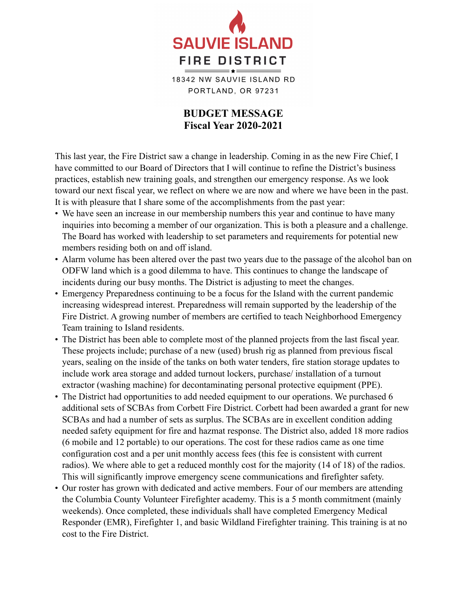

18342 NW SAUVIE ISLAND RD PORTLAND, OR 97231

## **BUDGET MESSAGE Fiscal Year 2020-2021**

This last year, the Fire District saw a change in leadership. Coming in as the new Fire Chief, I have committed to our Board of Directors that I will continue to refine the District's business practices, establish new training goals, and strengthen our emergency response. As we look toward our next fiscal year, we reflect on where we are now and where we have been in the past. It is with pleasure that I share some of the accomplishments from the past year:

- We have seen an increase in our membership numbers this year and continue to have many inquiries into becoming a member of our organization. This is both a pleasure and a challenge. The Board has worked with leadership to set parameters and requirements for potential new members residing both on and off island.
- Alarm volume has been altered over the past two years due to the passage of the alcohol ban on ODFW land which is a good dilemma to have. This continues to change the landscape of incidents during our busy months. The District is adjusting to meet the changes.
- Emergency Preparedness continuing to be a focus for the Island with the current pandemic increasing widespread interest. Preparedness will remain supported by the leadership of the Fire District. A growing number of members are certified to teach Neighborhood Emergency Team training to Island residents.
- The District has been able to complete most of the planned projects from the last fiscal year. These projects include; purchase of a new (used) brush rig as planned from previous fiscal years, sealing on the inside of the tanks on both water tenders, fire station storage updates to include work area storage and added turnout lockers, purchase/ installation of a turnout extractor (washing machine) for decontaminating personal protective equipment (PPE).
- The District had opportunities to add needed equipment to our operations. We purchased 6 additional sets of SCBAs from Corbett Fire District. Corbett had been awarded a grant for new SCBAs and had a number of sets as surplus. The SCBAs are in excellent condition adding needed safety equipment for fire and hazmat response. The District also, added 18 more radios (6 mobile and 12 portable) to our operations. The cost for these radios came as one time configuration cost and a per unit monthly access fees (this fee is consistent with current radios). We where able to get a reduced monthly cost for the majority (14 of 18) of the radios. This will significantly improve emergency scene communications and firefighter safety.
- Our roster has grown with dedicated and active members. Four of our members are attending the Columbia County Volunteer Firefighter academy. This is a 5 month commitment (mainly weekends). Once completed, these individuals shall have completed Emergency Medical Responder (EMR), Firefighter 1, and basic Wildland Firefighter training. This training is at no cost to the Fire District.